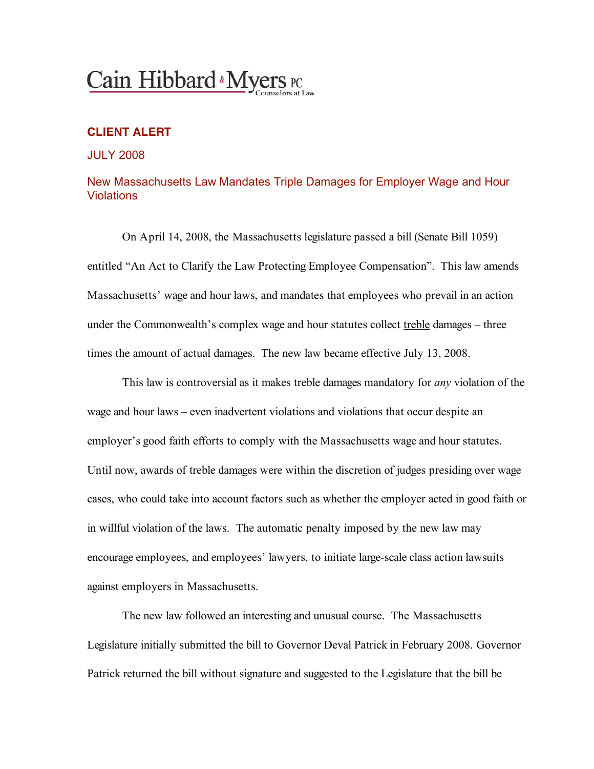# Cain Hibbard & Myers PC

## **CLIENT ALERT**

#### JULY 2008

### New Massachusetts Law Mandates Triple Damages for Employer Wage and Hour Violations

On April 14, 2008, the Massachusetts legislature passed a bill (Senate Bill 1059) entitled "An Act to Clarify the Law Protecting Employee Compensation". This law amends Massachusetts' wage and hour laws, and mandates that employees who prevail in an action under the Commonwealth's complex wage and hour statutes collect treble damages – three times the amount of actual damages. The new law became effective July 13, 2008.

This law is controversial as it makes treble damages mandatory for *any* violation of the wage and hour laws – even inadvertent violations and violations that occur despite an employer's good faith efforts to comply with the Massachusetts wage and hour statutes. Until now, awards of treble damages were within the discretion of judges presiding over wage cases, who could take into account factors such as whether the employer acted in good faith or in willful violation of the laws. The automatic penalty imposed by the new law may encourage employees, and employees' lawyers, to initiate large-scale class action lawsuits against employers in Massachusetts.

The new law followed an interesting and unusual course. The Massachusetts Legislature initially submitted the bill to Governor Deval Patrick in February 2008. Governor Patrick returned the bill without signature and suggested to the Legislature that the bill be